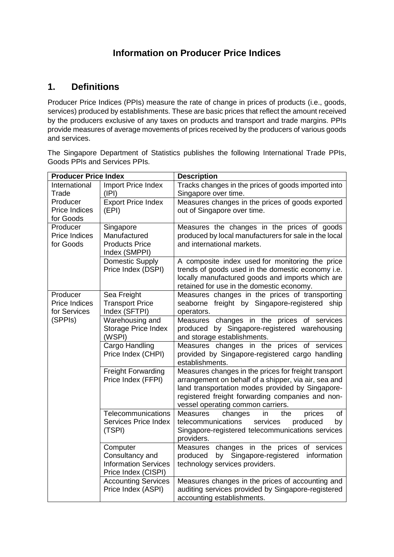## **Information on Producer Price Indices**

## **1. Definitions**

Producer Price Indices (PPIs) measure the rate of change in prices of products (i.e., goods, services) produced by establishments. These are basic prices that reflect the amount received by the producers exclusive of any taxes on products and transport and trade margins. PPIs provide measures of average movements of prices received by the producers of various goods and services.

The Singapore Department of Statistics publishes the following International Trade PPIs, Goods PPIs and Services PPIs.

| <b>Producer Price Index</b>                   |                                                                                   | <b>Description</b>                                                                                                                                                                                                                                        |  |
|-----------------------------------------------|-----------------------------------------------------------------------------------|-----------------------------------------------------------------------------------------------------------------------------------------------------------------------------------------------------------------------------------------------------------|--|
| International<br>Trade                        | Import Price Index<br>(IPI)                                                       | Tracks changes in the prices of goods imported into<br>Singapore over time.                                                                                                                                                                               |  |
| Producer<br><b>Price Indices</b><br>for Goods | <b>Export Price Index</b><br>(EPI)                                                | Measures changes in the prices of goods exported<br>out of Singapore over time.                                                                                                                                                                           |  |
| Producer<br>Price Indices<br>for Goods        | Singapore<br>Manufactured<br><b>Products Price</b><br>Index (SMPPI)               | Measures the changes in the prices of goods<br>produced by local manufacturers for sale in the local<br>and international markets.                                                                                                                        |  |
|                                               | Domestic Supply<br>Price Index (DSPI)                                             | A composite index used for monitoring the price<br>trends of goods used in the domestic economy i.e.<br>locally manufactured goods and imports which are<br>retained for use in the domestic economy.                                                     |  |
| Producer<br>Price Indices<br>for Services     | Sea Freight<br><b>Transport Price</b><br>Index (SFTPI)                            | Measures changes in the prices of transporting<br>seaborne freight by Singapore-registered ship<br>operators.                                                                                                                                             |  |
| (SPPIs)                                       | Warehousing and<br>Storage Price Index<br>(WSPI)                                  | Measures changes in the prices of services<br>produced by Singapore-registered warehousing<br>and storage establishments.                                                                                                                                 |  |
|                                               | Cargo Handling<br>Price Index (CHPI)                                              | Measures changes in the prices of services<br>provided by Singapore-registered cargo handling<br>establishments.                                                                                                                                          |  |
|                                               | <b>Freight Forwarding</b><br>Price Index (FFPI)                                   | Measures changes in the prices for freight transport<br>arrangement on behalf of a shipper, via air, sea and<br>land transportation modes provided by Singapore-<br>registered freight forwarding companies and non-<br>vessel operating common carriers. |  |
|                                               | Telecommunications<br>Services Price Index<br>(TSPI)                              | of<br><b>Measures</b><br>the<br>changes<br>prices<br>in<br>telecommunications<br>services<br>produced<br>by<br>Singapore-registered telecommunications services<br>providers.                                                                             |  |
|                                               | Computer<br>Consultancy and<br><b>Information Services</b><br>Price Index (CISPI) | Measures changes in the prices of services<br>produced<br>by<br>Singapore-registered<br>information<br>technology services providers.                                                                                                                     |  |
|                                               | <b>Accounting Services</b><br>Price Index (ASPI)                                  | Measures changes in the prices of accounting and<br>auditing services provided by Singapore-registered<br>accounting establishments.                                                                                                                      |  |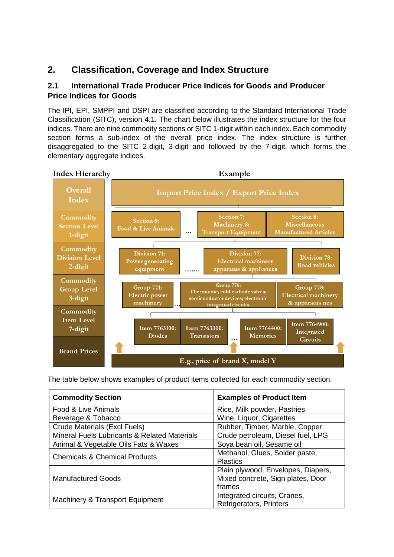## **2. Classification, Coverage and Index Structure**

### **2.1 International Trade Producer Price Indices for Goods and Producer Price Indices for Goods**

The IPI, EPI, SMPPI and DSPI are classified according to the Standard International Trade Classification (SITC), version 4.1. The chart below illustrates the index structure for the four indices. There are nine commodity sections or SITC 1-digit within each index. Each commodity section forms a sub-index of the overall price index. The index structure is further disaggregated to the SITC 2-digit, 3-digit and followed by the 7-digit, which forms the elementary aggregate indices.



The table below shows examples of product items collected for each commodity section.

| <b>Commodity Section</b>                                | <b>Examples of Product Item</b>                                                   |  |
|---------------------------------------------------------|-----------------------------------------------------------------------------------|--|
| Food & Live Animals                                     | Rice, Milk powder, Pastries                                                       |  |
| Beverage & Tobacco                                      | Wine, Liquor, Cigarettes                                                          |  |
| <b>Crude Materials (Excl Fuels)</b>                     | Rubber, Timber, Marble, Copper                                                    |  |
| <b>Mineral Fuels Lubricants &amp; Related Materials</b> | Crude petroleum, Diesel fuel, LPG                                                 |  |
| Animal & Vegetable Oils Fats & Waxes                    | Soya bean oil, Sesame oil                                                         |  |
| <b>Chemicals &amp; Chemical Products</b>                | Methanol, Glues, Solder paste,<br><b>Plastics</b>                                 |  |
| <b>Manufactured Goods</b>                               | Plain plywood, Envelopes, Diapers,<br>Mixed concrete, Sign plates, Door<br>frames |  |
| Machinery & Transport Equipment                         | Integrated circuits, Cranes,<br>Refrigerators, Printers                           |  |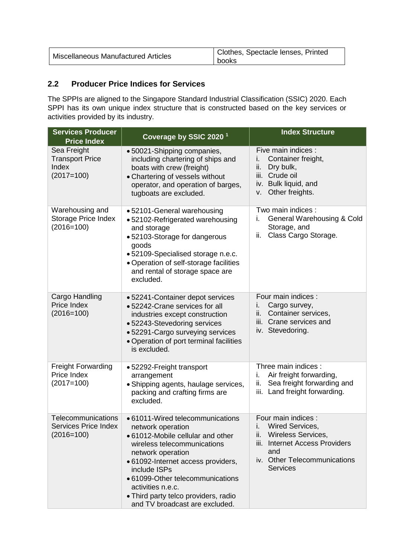| Miscellaneous Manufactured Articles | Clothes, Spectacle lenses, Printed<br>books |
|-------------------------------------|---------------------------------------------|
|-------------------------------------|---------------------------------------------|

## **2.2 Producer Price Indices for Services**

The SPPIs are aligned to the Singapore Standard Industrial Classification (SSIC) 2020. Each SPPI has its own unique index structure that is constructed based on the key services or activities provided by its industry.

| <b>Services Producer</b><br><b>Price Index</b>                    | Coverage by SSIC 2020 <sup>1</sup>                                                                                                                                                                                                                                                                                                      | <b>Index Structure</b>                                                                                                                                                                 |
|-------------------------------------------------------------------|-----------------------------------------------------------------------------------------------------------------------------------------------------------------------------------------------------------------------------------------------------------------------------------------------------------------------------------------|----------------------------------------------------------------------------------------------------------------------------------------------------------------------------------------|
| Sea Freight<br><b>Transport Price</b><br>Index<br>$(2017=100)$    | • 50021-Shipping companies,<br>including chartering of ships and<br>boats with crew (freight)<br>• Chartering of vessels without<br>operator, and operation of barges,<br>tugboats are excluded.                                                                                                                                        | Five main indices :<br>Container freight,<br>i.<br>ii.<br>Dry bulk,<br>Crude oil<br>iii.<br>iv. Bulk liquid, and<br>Other freights.<br>V.                                              |
| Warehousing and<br><b>Storage Price Index</b><br>$(2016=100)$     | • 52101-General warehousing<br>• 52102-Refrigerated warehousing<br>and storage<br>• 52103-Storage for dangerous<br>goods<br>· 52109-Specialised storage n.e.c.<br>• Operation of self-storage facilities<br>and rental of storage space are<br>excluded.                                                                                | Two main indices :<br>General Warehousing & Cold<br>i.<br>Storage, and<br>Class Cargo Storage.<br>ii.                                                                                  |
| Cargo Handling<br>Price Index<br>$(2016=100)$                     | • 52241-Container depot services<br>• 52242-Crane services for all<br>industries except construction<br>• 52243-Stevedoring services<br>• 52291-Cargo surveying services<br>• Operation of port terminal facilities<br>is excluded.                                                                                                     | Four main indices :<br>i.<br>Cargo survey,<br>ii.<br>Container services,<br>iii. Crane services and<br>iv. Stevedoring.                                                                |
| <b>Freight Forwarding</b><br>Price Index<br>$(2017=100)$          | • 52292-Freight transport<br>arrangement<br>• Shipping agents, haulage services,<br>packing and crafting firms are<br>excluded.                                                                                                                                                                                                         | Three main indices :<br>Air freight forwarding,<br>i.<br>Sea freight forwarding and<br>ii.<br>iii. Land freight forwarding.                                                            |
| Telecommunications<br><b>Services Price Index</b><br>$(2016=100)$ | • 61011-Wired telecommunications<br>network operation<br>• 61012-Mobile cellular and other<br>wireless telecommunications<br>network operation<br>· 61092-Internet access providers,<br>include ISPs<br>• 61099-Other telecommunications<br>activities n.e.c.<br>• Third party telco providers, radio<br>and TV broadcast are excluded. | Four main indices :<br>Wired Services,<br>i.<br><b>Wireless Services,</b><br>ii.<br><b>Internet Access Providers</b><br>iii.<br>and<br>iv. Other Telecommunications<br><b>Services</b> |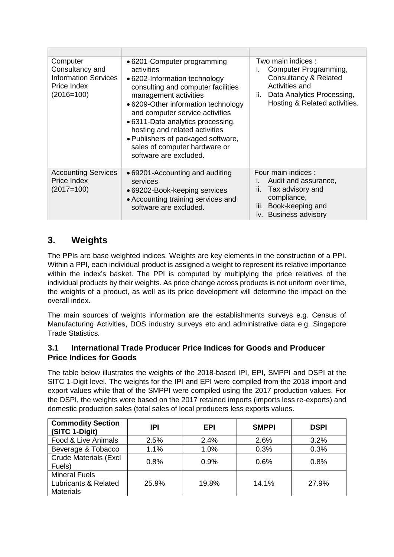| Computer<br>Consultancy and<br><b>Information Services</b><br>Price Index<br>$(2016=100)$                                                                                                                 | • 6201-Computer programming<br>activities<br>• 6202-Information technology<br>consulting and computer facilities<br>management activities<br>• 6209-Other information technology<br>and computer service activities<br>• 6311-Data analytics processing,<br>hosting and related activities<br>• Publishers of packaged software,<br>sales of computer hardware or<br>software are excluded. | Two main indices :<br>Computer Programming,<br><b>Consultancy &amp; Related</b><br>Activities and<br>Data Analytics Processing,<br>ii.<br>Hosting & Related activities. |
|-----------------------------------------------------------------------------------------------------------------------------------------------------------------------------------------------------------|---------------------------------------------------------------------------------------------------------------------------------------------------------------------------------------------------------------------------------------------------------------------------------------------------------------------------------------------------------------------------------------------|-------------------------------------------------------------------------------------------------------------------------------------------------------------------------|
| <b>Accounting Services</b><br>• 69201-Accounting and auditing<br>Price Index<br>services<br>$(2017=100)$<br>• 69202-Book-keeping services<br>• Accounting training services and<br>software are excluded. |                                                                                                                                                                                                                                                                                                                                                                                             | Four main indices:<br>Audit and assurance,<br>ı.<br>Tax advisory and<br>Ш.<br>compliance,<br>iii. Book-keeping and<br>iv. Business advisory                             |

## **3. Weights**

The PPIs are base weighted indices. Weights are key elements in the construction of a PPI. Within a PPI, each individual product is assigned a weight to represent its relative importance within the index's basket. The PPI is computed by multiplying the price relatives of the individual products by their weights. As price change across products is not uniform over time, the weights of a product, as well as its price development will determine the impact on the overall index.

The main sources of weights information are the establishments surveys e.g. Census of Manufacturing Activities, DOS industry surveys etc and administrative data e.g. Singapore Trade Statistics.

### **3.1 International Trade Producer Price Indices for Goods and Producer Price Indices for Goods**

The table below illustrates the weights of the 2018-based IPI, EPI, SMPPI and DSPI at the SITC 1-Digit level. The weights for the IPI and EPI were compiled from the 2018 import and export values while that of the SMPPI were compiled using the 2017 production values. For the DSPI, the weights were based on the 2017 retained imports (imports less re-exports) and domestic production sales (total sales of local producers less exports values.

| <b>Commodity Section</b><br>(SITC 1-Digit)                                  | IPI   | <b>EPI</b> | <b>SMPPI</b> | <b>DSPI</b> |
|-----------------------------------------------------------------------------|-------|------------|--------------|-------------|
| Food & Live Animals                                                         | 2.5%  | 2.4%       | 2.6%         | 3.2%        |
| Beverage & Tobacco                                                          | 1.1%  | 1.0%       | 0.3%         | 0.3%        |
| <b>Crude Materials (Excl</b><br>Fuels)                                      | 0.8%  | 0.9%       | 0.6%         | 0.8%        |
| <b>Mineral Fuels</b><br><b>Lubricants &amp; Related</b><br><b>Materials</b> | 25.9% | 19.8%      | 14.1%        | 27.9%       |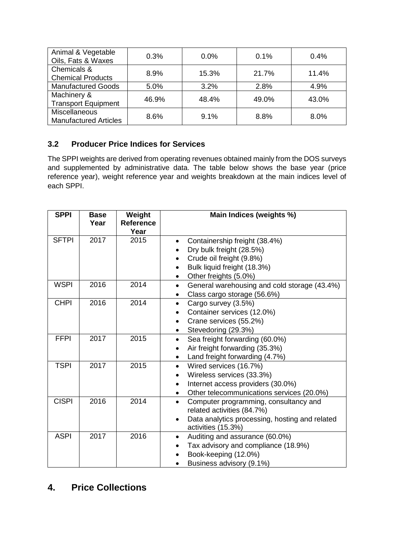| Animal & Vegetable<br>Oils, Fats & Waxes | 0.3%  | $0.0\%$ | 0.1%  | 0.4%  |
|------------------------------------------|-------|---------|-------|-------|
| Chemicals &                              | 8.9%  | 15.3%   | 21.7% | 11.4% |
| <b>Chemical Products</b>                 |       |         |       |       |
| <b>Manufactured Goods</b>                | 5.0%  | 3.2%    | 2.8%  | 4.9%  |
| Machinery &                              | 46.9% | 48.4%   | 49.0% | 43.0% |
| <b>Transport Equipment</b>               |       |         |       |       |
| <b>Miscellaneous</b>                     | 8.6%  | 9.1%    | 8.8%  | 8.0%  |
| <b>Manufactured Articles</b>             |       |         |       |       |

## **3.2 Producer Price Indices for Services**

The SPPI weights are derived from operating revenues obtained mainly from the DOS surveys and supplemented by administrative data. The table below shows the base year (price reference year), weight reference year and weights breakdown at the main indices level of each SPPI.

| <b>SPPI</b>  | <b>Base</b><br>Year | Weight<br><b>Reference</b><br>Year | Main Indices (weights %)                                                                                                                                                                  |
|--------------|---------------------|------------------------------------|-------------------------------------------------------------------------------------------------------------------------------------------------------------------------------------------|
| <b>SFTPI</b> | 2017                | 2015                               | Containership freight (38.4%)<br>Dry bulk freight (28.5%)<br>Crude oil freight (9.8%)<br>Bulk liquid freight (18.3%)<br>Other freights (5.0%)<br>$\bullet$                                |
| <b>WSPI</b>  | 2016                | 2014                               | General warehousing and cold storage (43.4%)<br>$\bullet$<br>Class cargo storage (56.6%)                                                                                                  |
| <b>CHPI</b>  | 2016                | 2014                               | Cargo survey (3.5%)<br>$\bullet$<br>Container services (12.0%)<br>Crane services (55.2%)<br>$\bullet$<br>Stevedoring (29.3%)                                                              |
| <b>FFPI</b>  | 2017                | 2015                               | Sea freight forwarding (60.0%)<br>$\bullet$<br>Air freight forwarding (35.3%)<br>Land freight forwarding (4.7%)                                                                           |
| <b>TSPI</b>  | 2017                | 2015                               | Wired services (16.7%)<br>$\bullet$<br>Wireless services (33.3%)<br>$\bullet$<br>Internet access providers (30.0%)<br>$\bullet$<br>Other telecommunications services (20.0%)<br>$\bullet$ |
| <b>CISPI</b> | 2016                | 2014                               | Computer programming, consultancy and<br>$\bullet$<br>related activities (84.7%)<br>Data analytics processing, hosting and related<br>$\bullet$<br>activities (15.3%)                     |
| <b>ASPI</b>  | 2017                | 2016                               | Auditing and assurance (60.0%)<br>$\bullet$<br>Tax advisory and compliance (18.9%)<br>Book-keeping (12.0%)<br>Business advisory (9.1%)                                                    |

# **4. Price Collections**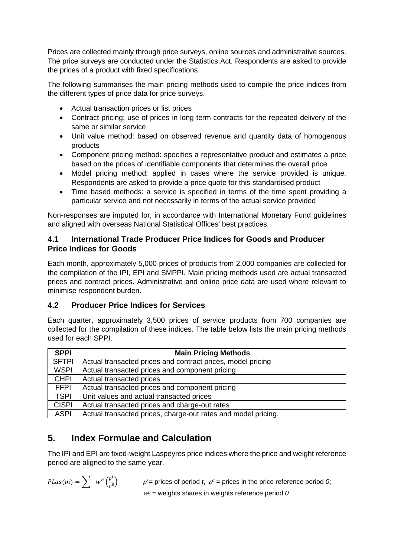Prices are collected mainly through price surveys, online sources and administrative sources. The price surveys are conducted under the Statistics Act. Respondents are asked to provide the prices of a product with fixed specifications.

The following summarises the main pricing methods used to compile the price indices from the different types of price data for price surveys.

- Actual transaction prices or list prices
- Contract pricing: use of prices in long term contracts for the repeated delivery of the same or similar service
- Unit value method: based on observed revenue and quantity data of homogenous products
- Component pricing method: specifies a representative product and estimates a price based on the prices of identifiable components that determines the overall price
- Model pricing method: applied in cases where the service provided is unique. Respondents are asked to provide a price quote for this standardised product
- Time based methods: a service is specified in terms of the time spent providing a particular service and not necessarily in terms of the actual service provided

Non-responses are imputed for, in accordance with International Monetary Fund guidelines and aligned with overseas National Statistical Offices' best practices.

### **4.1 International Trade Producer Price Indices for Goods and Producer Price Indices for Goods**

Each month, approximately 5,000 prices of products from 2,000 companies are collected for the compilation of the IPI, EPI and SMPPI. Main pricing methods used are actual transacted prices and contract prices. Administrative and online price data are used where relevant to minimise respondent burden.

### **4.2 Producer Price Indices for Services**

Each quarter, approximately 3,500 prices of service products from 700 companies are collected for the compilation of these indices. The table below lists the main pricing methods used for each SPPI.

| <b>SPPI</b>  | <b>Main Pricing Methods</b>                                   |
|--------------|---------------------------------------------------------------|
| <b>SFTPI</b> | Actual transacted prices and contract prices, model pricing   |
| <b>WSPI</b>  | Actual transacted prices and component pricing                |
| <b>CHPI</b>  | Actual transacted prices                                      |
| <b>FFPI</b>  | Actual transacted prices and component pricing                |
| <b>TSPI</b>  | Unit values and actual transacted prices                      |
| <b>CISPI</b> | Actual transacted prices and charge-out rates                 |
| <b>ASPI</b>  | Actual transacted prices, charge-out rates and model pricing. |

## **5. Index Formulae and Calculation**

The IPI and EPI are fixed-weight Laspeyres price indices where the price and weight reference period are aligned to the same year.

$$
PLas(m) = \sum w^b \left(\frac{p^t}{p^0}\right)
$$

 $p^t$  = prices of period *t*,  $p^0$  = prices in the price reference period *0*;  $w<sup>b</sup>$  = weights shares in weights reference period  $0$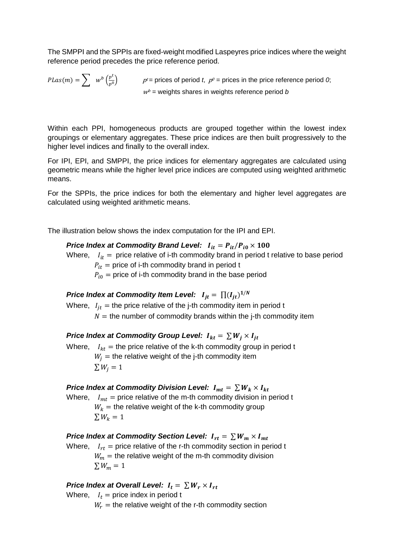The SMPPI and the SPPIs are fixed-weight modified Laspeyres price indices where the weight reference period precedes the price reference period.

 $PLas(m) = \sum w^b \left(\frac{p^b}{p^0}\right)$   $p^t = \text{prices of period } t, p^0 = \text{prices in the price reference period } 0;$  $w<sup>b</sup>$  = weights shares in weights reference period *b* 

Within each PPI, homogeneous products are grouped together within the lowest index groupings or elementary aggregates. These price indices are then built progressively to the higher level indices and finally to the overall index.

For IPI, EPI, and SMPPI, the price indices for elementary aggregates are calculated using geometric means while the higher level price indices are computed using weighted arithmetic means.

For the SPPIs, the price indices for both the elementary and higher level aggregates are calculated using weighted arithmetic means.

The illustration below shows the index computation for the IPI and EPI.

#### *Price Index at Commodity Brand Level:*  $I_{it} = P_{it}/P_{i0} \times 100$

Where,  $I_{it}$  = price relative of i-th commodity brand in period t relative to base period  $P_{it}$  = price of i-th commodity brand in period t

 $P_{i0}$  = price of i-th commodity brand in the base period

*Price Index at Commodity Item Level:*  $I_{it} = \prod (I_{it})^{1/N}$ 

Where,  $I_{it}$  = the price relative of the j-th commodity item in period t  $N =$  the number of commodity brands within the j-th commodity item

*Price Index at Commodity Group Level:*  $I_{kt} = \sum W_i \times I_{it}$ Where,  $I_{kt}$  = the price relative of the k-th commodity group in period t  $W_i$  = the relative weight of the j-th commodity item  $\sum W_i = 1$ 

#### *Price Index at Commodity Division Level:*  $I_{mt} = \sum W_k \times I_{kt}$

Where,  $I_{mt}$  = price relative of the m-th commodity division in period t  $W_k =$  the relative weight of the k-th commodity group  $\sum W_k = 1$ 

*Price Index at Commodity Section Level:*  $I_{rt} = \sum W_m \times I_{mt}$ Where,  $I_{rt}$  = price relative of the r-th commodity section in period t

 $W_m =$  the relative weight of the m-th commodity division  $\sum W_m = 1$ 

#### *Price Index at Overall Level:*  $I_t = \sum W_r \times I_{rt}$

- Where,  $I_t$  = price index in period t
	- $W_r$  = the relative weight of the r-th commodity section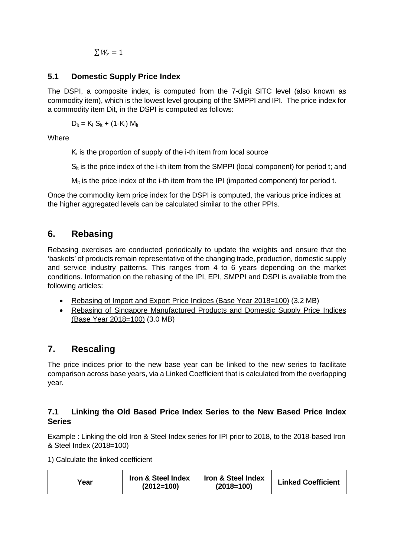$\sum W_r = 1$ 

### **5.1 Domestic Supply Price Index**

The DSPI, a composite index, is computed from the 7-digit SITC level (also known as commodity item), which is the lowest level grouping of the SMPPI and IPI. The price index for a commodity item Dit, in the DSPI is computed as follows:

 $D_{it} = K_i S_{it} + (1 - K_i) M_{it}$ 

**Where** 

 $K_i$  is the proportion of supply of the i-th item from local source

 $S_{it}$  is the price index of the i-th item from the SMPPI (local component) for period t; and

 $M_{it}$  is the price index of the i-th item from the IPI (imported component) for period t.

Once the commodity item price index for the DSPI is computed, the various price indices at the higher aggregated levels can be calculated similar to the other PPIs.

## **6. Rebasing**

Rebasing exercises are conducted periodically to update the weights and ensure that the 'baskets' of products remain representative of the changing trade, production, domestic supply and service industry patterns. This ranges from 4 to 6 years depending on the market conditions. Information on the rebasing of the IPI, EPI, SMPPI and DSPI is available from the following articles:

- [Rebasing of Import and Export Price Indices \(Base Year 2018=100\)](https://www.singstat.gov.sg/-/media/files/publications/economy/ip-e43ipi.pdf) (3.2 MB)
- [Rebasing of Singapore Manufactured Products and Domestic Supply Price Indices](https://www.singstat.gov.sg/-/media/files/publications/economy/ip-e45.pdf)  [\(Base Year 2018=100\)](https://www.singstat.gov.sg/-/media/files/publications/economy/ip-e45.pdf) (3.0 MB)

## **7. Rescaling**

The price indices prior to the new base year can be linked to the new series to facilitate comparison across base years, via a Linked Coefficient that is calculated from the overlapping year.

## **7.1 Linking the Old Based Price Index Series to the New Based Price Index Series**

Example : Linking the old Iron & Steel Index series for IPI prior to 2018, to the 2018-based Iron & Steel Index (2018=100)

1) Calculate the linked coefficient

| Year | Iron & Steel Index<br>$(2012=100)$ | Iron & Steel Index<br>$(2018=100)$ | <b>Linked Coefficient</b> |
|------|------------------------------------|------------------------------------|---------------------------|
|------|------------------------------------|------------------------------------|---------------------------|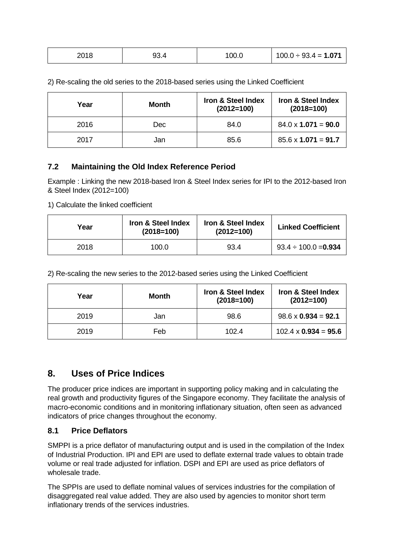| 2018 | 93.4 | 100.0 | $100.0 \div 93.4 = 1.071$ |
|------|------|-------|---------------------------|
|      |      |       |                           |

| , ,, , , , ,<br>∠∪⊺o | .<br>ັນວ. . | '00.0 | 100.0<br>$\cdots$<br>. .<br>1.071<br>$\overline{\phantom{0}}$<br>ు =<br>$\overline{\phantom{0}}$ |
|----------------------|-------------|-------|--------------------------------------------------------------------------------------------------|
|                      |             |       |                                                                                                  |

| 2) Re-scaling the old series to the 2018-based series using the Linked Coefficient |  |
|------------------------------------------------------------------------------------|--|
|------------------------------------------------------------------------------------|--|

| Year | Month | <b>Iron &amp; Steel Index</b><br>$(2012=100)$ | <b>Iron &amp; Steel Index</b><br>$(2018=100)$ |
|------|-------|-----------------------------------------------|-----------------------------------------------|
| 2016 | Dec   | 84.0                                          | $84.0 \times 1.071 = 90.0$                    |
| 2017 | Jan   | 85.6                                          | $85.6 \times 1.071 = 91.7$                    |

### **7.2 Maintaining the Old Index Reference Period**

Example : Linking the new 2018-based Iron & Steel Index series for IPI to the 2012-based Iron & Steel Index (2012=100)

1) Calculate the linked coefficient

| Year | Iron & Steel Index<br>$(2018=100)$ | Iron & Steel Index<br>$(2012=100)$ | <b>Linked Coefficient</b> |
|------|------------------------------------|------------------------------------|---------------------------|
| 2018 | 100.0                              | 93.4                               | $93.4 \div 100.0 = 0.934$ |

2) Re-scaling the new series to the 2012-based series using the Linked Coefficient

| Year | Month | <b>Iron &amp; Steel Index</b><br>$(2018=100)$ | Iron & Steel Index<br>$(2012=100)$ |
|------|-------|-----------------------------------------------|------------------------------------|
| 2019 | Jan   | 98.6                                          | $98.6 \times 0.934 = 92.1$         |
| 2019 | Feb   | 102.4                                         | $102.4 \times 0.934 = 95.6$        |

## **8. Uses of Price Indices**

The producer price indices are important in supporting policy making and in calculating the real growth and productivity figures of the Singapore economy. They facilitate the analysis of macro-economic conditions and in monitoring inflationary situation, often seen as advanced indicators of price changes throughout the economy.

### **8.1 Price Deflators**

SMPPI is a price deflator of manufacturing output and is used in the compilation of the Index of Industrial Production. IPI and EPI are used to deflate external trade values to obtain trade volume or real trade adjusted for inflation. DSPI and EPI are used as price deflators of wholesale trade.

The SPPIs are used to deflate nominal values of services industries for the compilation of disaggregated real value added. They are also used by agencies to monitor short term inflationary trends of the services industries.